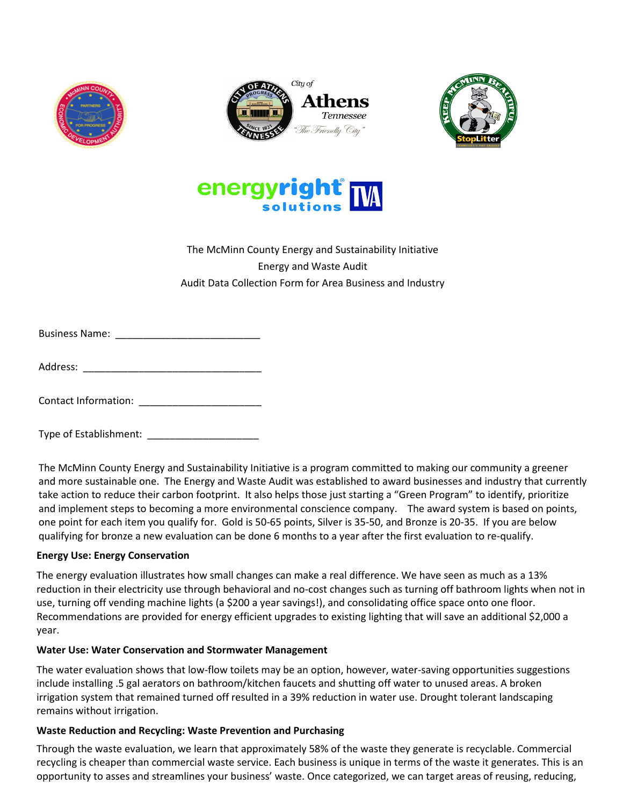







# The McMinn County Energy and Sustainability Initiative Energy and Waste Audit Audit Data Collection Form for Area Business and Industry

| <b>Business Name:</b> |  |
|-----------------------|--|
|-----------------------|--|

Address: \_\_\_\_\_\_\_\_\_\_\_\_\_\_\_\_\_\_\_\_\_\_\_\_\_\_\_\_\_\_\_\_

Contact Information: \_\_\_\_\_\_\_\_\_\_\_\_\_\_\_\_\_\_\_\_\_\_

Type of Establishment: \_\_\_\_\_\_\_\_\_\_\_\_\_\_\_\_\_\_\_\_

The McMinn County Energy and Sustainability Initiative is a program committed to making our community a greener and more sustainable one. The Energy and Waste Audit was established to award businesses and industry that currently take action to reduce their carbon footprint. It also helps those just starting a "Green Program" to identify, prioritize and implement steps to becoming a more environmental conscience company. The award system is based on points, one point for each item you qualify for. Gold is 50-65 points, Silver is 35-50, and Bronze is 20-35. If you are below qualifying for bronze a new evaluation can be done 6 months to a year after the first evaluation to re-qualify.

## **Energy Use: Energy Conservation**

The energy evaluation illustrates how small changes can make a real difference. We have seen as much as a 13% reduction in their electricity use through behavioral and no-cost changes such as turning off bathroom lights when not in use, turning off vending machine lights (a \$200 a year savings!), and consolidating office space onto one floor. Recommendations are provided for energy efficient upgrades to existing lighting that will save an additional \$2,000 a year.

### **Water Use: Water Conservation and Stormwater Management**

The water evaluation shows that low-flow toilets may be an option, however, water-saving opportunities suggestions include installing .5 gal aerators on bathroom/kitchen faucets and shutting off water to unused areas. A broken irrigation system that remained turned off resulted in a 39% reduction in water use. Drought tolerant landscaping remains without irrigation.

## **Waste Reduction and Recycling: Waste Prevention and Purchasing**

Through the waste evaluation, we learn that approximately 58% of the waste they generate is recyclable. Commercial recycling is cheaper than commercial waste service. Each business is unique in terms of the waste it generates. This is an opportunity to asses and streamlines your business' waste. Once categorized, we can target areas of reusing, reducing,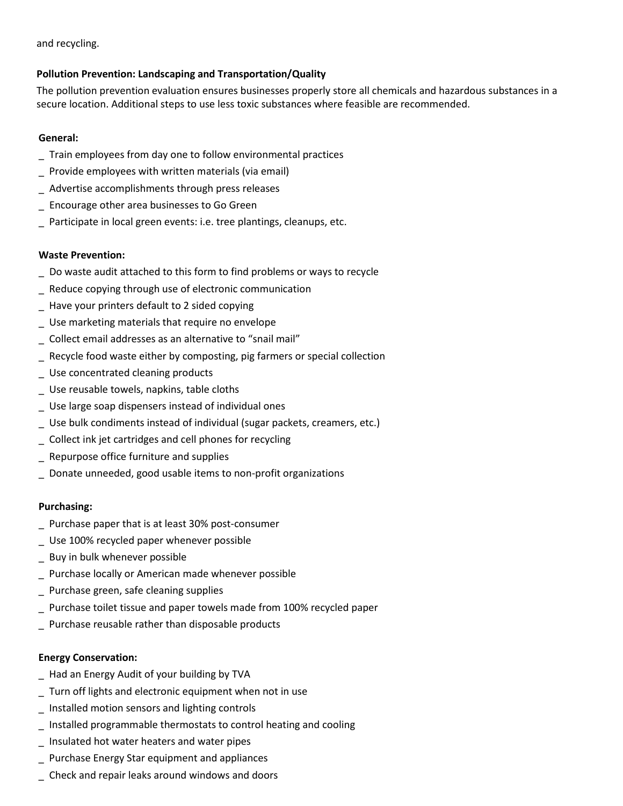and recycling.

## **Pollution Prevention: Landscaping and Transportation/Quality**

The pollution prevention evaluation ensures businesses properly store all chemicals and hazardous substances in a secure location. Additional steps to use less toxic substances where feasible are recommended.

## **General:**

- \_ Train employees from day one to follow environmental practices
- Provide employees with written materials (via email)
- Advertise accomplishments through press releases
- \_ Encourage other area businesses to Go Green
- Participate in local green events: i.e. tree plantings, cleanups, etc.

## **Waste Prevention:**

- \_ Do waste audit attached to this form to find problems or ways to recycle
- Reduce copying through use of electronic communication
- \_ Have your printers default to 2 sided copying
- Use marketing materials that require no envelope
- \_ Collect email addresses as an alternative to "snail mail"
- Recycle food waste either by composting, pig farmers or special collection
- \_ Use concentrated cleaning products
- \_ Use reusable towels, napkins, table cloths
- Use large soap dispensers instead of individual ones
- \_ Use bulk condiments instead of individual (sugar packets, creamers, etc.)
- \_ Collect ink jet cartridges and cell phones for recycling
- \_ Repurpose office furniture and supplies
- \_ Donate unneeded, good usable items to non-profit organizations

### **Purchasing:**

- \_ Purchase paper that is at least 30% post-consumer
- \_ Use 100% recycled paper whenever possible
- Buy in bulk whenever possible
- Purchase locally or American made whenever possible
- Purchase green, safe cleaning supplies
- Purchase toilet tissue and paper towels made from 100% recycled paper
- Purchase reusable rather than disposable products

### **Energy Conservation:**

- \_ Had an Energy Audit of your building by TVA
- \_ Turn off lights and electronic equipment when not in use
- \_ Installed motion sensors and lighting controls
- \_ Installed programmable thermostats to control heating and cooling
- \_ Insulated hot water heaters and water pipes
- Purchase Energy Star equipment and appliances
- \_ Check and repair leaks around windows and doors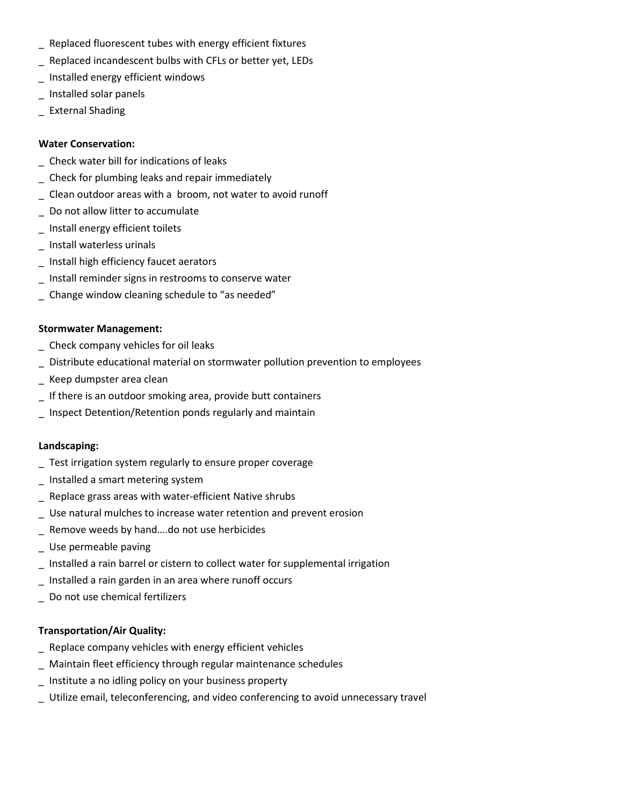- \_ Replaced fluorescent tubes with energy efficient fixtures
- \_ Replaced incandescent bulbs with CFLs or better yet, LEDs
- \_ Installed energy efficient windows
- \_ Installed solar panels
- \_ External Shading

### **Water Conservation:**

- \_ Check water bill for indications of leaks
- \_ Check for plumbing leaks and repair immediately
- \_ Clean outdoor areas with a broom, not water to avoid runoff
- \_ Do not allow litter to accumulate
- \_ Install energy efficient toilets
- \_ Install waterless urinals
- \_ Install high efficiency faucet aerators
- \_ Install reminder signs in restrooms to conserve water
- \_ Change window cleaning schedule to "as needed"

### **Stormwater Management:**

- \_ Check company vehicles for oil leaks
- \_ Distribute educational material on stormwater pollution prevention to employees
- \_ Keep dumpster area clean
- \_ If there is an outdoor smoking area, provide butt containers
- \_ Inspect Detention/Retention ponds regularly and maintain

### **Landscaping:**

- \_ Test irrigation system regularly to ensure proper coverage
- \_ Installed a smart metering system
- \_ Replace grass areas with water-efficient Native shrubs
- \_ Use natural mulches to increase water retention and prevent erosion
- \_ Remove weeds by hand….do not use herbicides
- \_ Use permeable paving
- \_ Installed a rain barrel or cistern to collect water for supplemental irrigation
- \_ Installed a rain garden in an area where runoff occurs
- \_ Do not use chemical fertilizers

### **Transportation/Air Quality:**

- \_ Replace company vehicles with energy efficient vehicles
- \_ Maintain fleet efficiency through regular maintenance schedules
- \_ Institute a no idling policy on your business property
- \_ Utilize email, teleconferencing, and video conferencing to avoid unnecessary travel